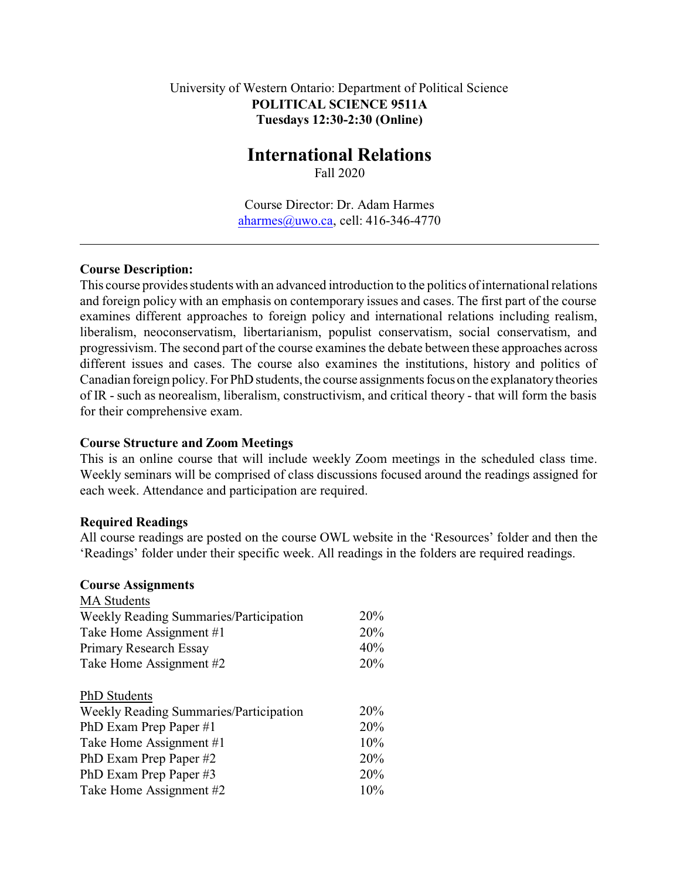### University of Western Ontario: Department of Political Science **POLITICAL SCIENCE 9511A Tuesdays 12:30-2:30 (Online)**

# **International Relations**

Fall 2020

Course Director: Dr. Adam Harmes [aharmes@uwo.ca](mailto:aharmes@uwo.ca), cell: 416-346-4770

### **Course Description:**

This course provides students with an advanced introduction to the politics of international relations and foreign policy with an emphasis on contemporary issues and cases. The first part of the course examines different approaches to foreign policy and international relations including realism, liberalism, neoconservatism, libertarianism, populist conservatism, social conservatism, and progressivism. The second part of the course examines the debate between these approaches across different issues and cases. The course also examines the institutions, history and politics of Canadian foreign policy. For PhD students, the course assignments focus on the explanatory theories of IR - such as neorealism, liberalism, constructivism, and critical theory - that will form the basis for their comprehensive exam.

### **Course Structure and Zoom Meetings**

This is an online course that will include weekly Zoom meetings in the scheduled class time. Weekly seminars will be comprised of class discussions focused around the readings assigned for each week. Attendance and participation are required.

### **Required Readings**

All course readings are posted on the course OWL website in the 'Resources' folder and then the 'Readings' folder under their specific week. All readings in the folders are required readings.

#### **Course Assignments**

| 20%<br>20% |
|------------|
|            |
|            |
| 40%        |
| 20%        |
|            |
| 20%        |
| 20%        |
| 10%        |
| 20%        |
| 20%        |
| 10%        |
|            |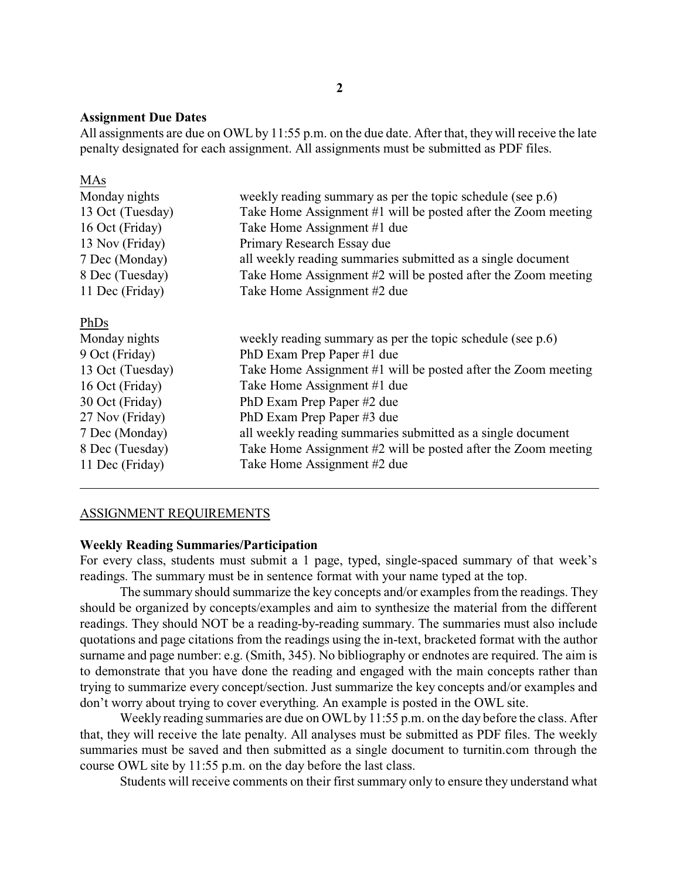#### **Assignment Due Dates**

All assignments are due on OWL by 11:55 p.m. on the due date. After that, they will receive the late penalty designated for each assignment. All assignments must be submitted as PDF files.

| weekly reading summary as per the topic schedule (see p.6)    |
|---------------------------------------------------------------|
| Take Home Assignment #1 will be posted after the Zoom meeting |
| Take Home Assignment #1 due                                   |
| Primary Research Essay due                                    |
| all weekly reading summaries submitted as a single document   |
| Take Home Assignment #2 will be posted after the Zoom meeting |
| Take Home Assignment #2 due                                   |
|                                                               |
| weekly reading summary as per the topic schedule (see p.6)    |
| PhD Exam Prep Paper #1 due                                    |
| Take Home Assignment #1 will be posted after the Zoom meeting |
| Take Home Assignment #1 due                                   |
| PhD Exam Prep Paper #2 due                                    |
| PhD Exam Prep Paper #3 due                                    |
| all weekly reading summaries submitted as a single document   |
| Take Home Assignment #2 will be posted after the Zoom meeting |
| Take Home Assignment #2 due                                   |
|                                                               |

#### ASSIGNMENT REQUIREMENTS

#### **Weekly Reading Summaries/Participation**

For every class, students must submit a 1 page, typed, single-spaced summary of that week's readings. The summary must be in sentence format with your name typed at the top.

The summary should summarize the key concepts and/or examples from the readings. They should be organized by concepts/examples and aim to synthesize the material from the different readings. They should NOT be a reading-by-reading summary. The summaries must also include quotations and page citations from the readings using the in-text, bracketed format with the author surname and page number: e.g. (Smith, 345). No bibliography or endnotes are required. The aim is to demonstrate that you have done the reading and engaged with the main concepts rather than trying to summarize every concept/section. Just summarize the key concepts and/or examples and don't worry about trying to cover everything. An example is posted in the OWL site.

Weekly reading summaries are due on OWL by 11:55 p.m. on the day before the class. After that, they will receive the late penalty. All analyses must be submitted as PDF files. The weekly summaries must be saved and then submitted as a single document to turnitin.com through the course OWL site by 11:55 p.m. on the day before the last class.

Students will receive comments on their first summary only to ensure they understand what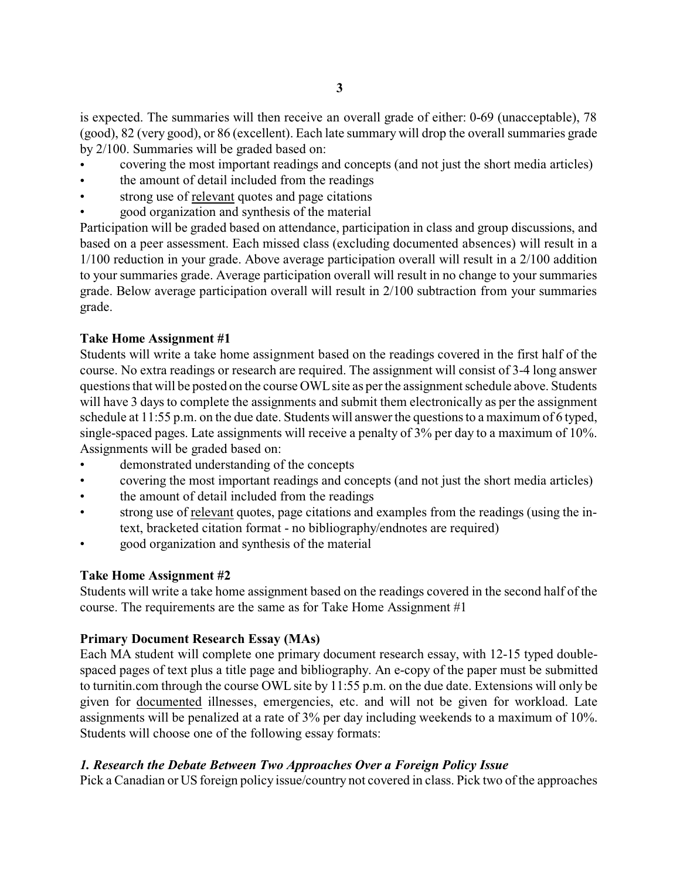is expected. The summaries will then receive an overall grade of either: 0-69 (unacceptable), 78 (good), 82 (very good), or 86 (excellent). Each late summary will drop the overall summaries grade by 2/100. Summaries will be graded based on:

- covering the most important readings and concepts (and not just the short media articles)
- the amount of detail included from the readings
- strong use of relevant quotes and page citations
- good organization and synthesis of the material

Participation will be graded based on attendance, participation in class and group discussions, and based on a peer assessment. Each missed class (excluding documented absences) will result in a 1/100 reduction in your grade. Above average participation overall will result in a 2/100 addition to your summaries grade. Average participation overall will result in no change to your summaries grade. Below average participation overall will result in 2/100 subtraction from your summaries grade.

# **Take Home Assignment #1**

Students will write a take home assignment based on the readings covered in the first half of the course. No extra readings or research are required. The assignment will consist of 3-4 long answer questionsthat will be posted on the course OWLsite as perthe assignment schedule above. Students will have 3 days to complete the assignments and submit them electronically as per the assignment schedule at 11:55 p.m. on the due date. Students will answer the questions to a maximum of 6 typed, single-spaced pages. Late assignments will receive a penalty of 3% per day to a maximum of 10%. Assignments will be graded based on:

- demonstrated understanding of the concepts
- covering the most important readings and concepts (and not just the short media articles)
- the amount of detail included from the readings
- strong use of relevant quotes, page citations and examples from the readings (using the intext, bracketed citation format - no bibliography/endnotes are required)
- good organization and synthesis of the material

# **Take Home Assignment #2**

Students will write a take home assignment based on the readings covered in the second half of the course. The requirements are the same as for Take Home Assignment #1

# **Primary Document Research Essay (MAs)**

Each MA student will complete one primary document research essay, with 12-15 typed doublespaced pages of text plus a title page and bibliography. An e-copy of the paper must be submitted to turnitin.com through the course OWL site by 11:55 p.m. on the due date. Extensions will only be given for documented illnesses, emergencies, etc. and will not be given for workload. Late assignments will be penalized at a rate of 3% per day including weekends to a maximum of 10%. Students will choose one of the following essay formats:

# *1. Research the Debate Between Two Approaches Over a Foreign Policy Issue*

Pick a Canadian or US foreign policy issue/country not covered in class. Pick two of the approaches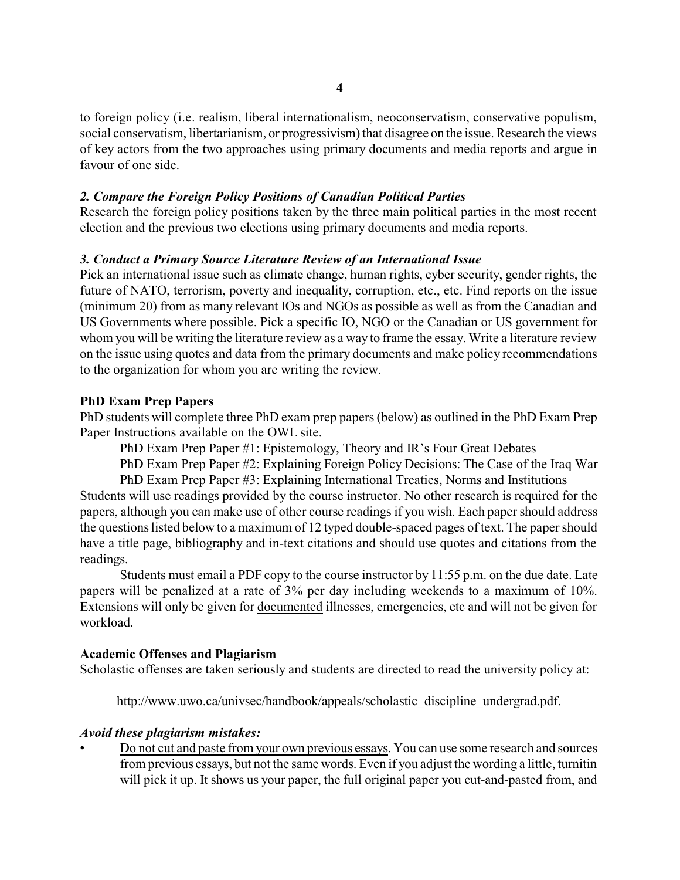to foreign policy (i.e. realism, liberal internationalism, neoconservatism, conservative populism, social conservatism, libertarianism, or progressivism) that disagree on the issue. Research the views of key actors from the two approaches using primary documents and media reports and argue in favour of one side.

### *2. Compare the Foreign Policy Positions of Canadian Political Parties*

Research the foreign policy positions taken by the three main political parties in the most recent election and the previous two elections using primary documents and media reports.

### *3. Conduct a Primary Source Literature Review of an International Issue*

Pick an international issue such as climate change, human rights, cyber security, gender rights, the future of NATO, terrorism, poverty and inequality, corruption, etc., etc. Find reports on the issue (minimum 20) from as many relevant IOs and NGOs as possible as well as from the Canadian and US Governments where possible. Pick a specific IO, NGO or the Canadian or US government for whom you will be writing the literature review as a way to frame the essay. Write a literature review on the issue using quotes and data from the primary documents and make policy recommendations to the organization for whom you are writing the review.

### **PhD Exam Prep Papers**

PhD students will complete three PhD exam prep papers(below) as outlined in the PhD Exam Prep Paper Instructions available on the OWL site.

PhD Exam Prep Paper #1: Epistemology, Theory and IR's Four Great Debates

PhD Exam Prep Paper #2: Explaining Foreign Policy Decisions: The Case of the Iraq War PhD Exam Prep Paper #3: Explaining International Treaties, Norms and Institutions

Students will use readings provided by the course instructor. No other research is required for the papers, although you can make use of other course readings if you wish. Each paper should address the questions listed below to a maximum of 12 typed double-spaced pages of text. The paper should have a title page, bibliography and in-text citations and should use quotes and citations from the readings.

Students must email a PDF copy to the course instructor by 11:55 p.m. on the due date. Late papers will be penalized at a rate of 3% per day including weekends to a maximum of 10%. Extensions will only be given for documented illnesses, emergencies, etc and will not be given for workload.

#### **Academic Offenses and Plagiarism**

Scholastic offenses are taken seriously and students are directed to read the university policy at:

http://www.uwo.ca/univsec/handbook/appeals/scholastic\_discipline\_undergrad.pdf.

#### *Avoid these plagiarism mistakes:*

• Do not cut and paste from your own previous essays. You can use some research and sources from previous essays, but not the same words. Even if you adjust the wording a little, turnitin will pick it up. It shows us your paper, the full original paper you cut-and-pasted from, and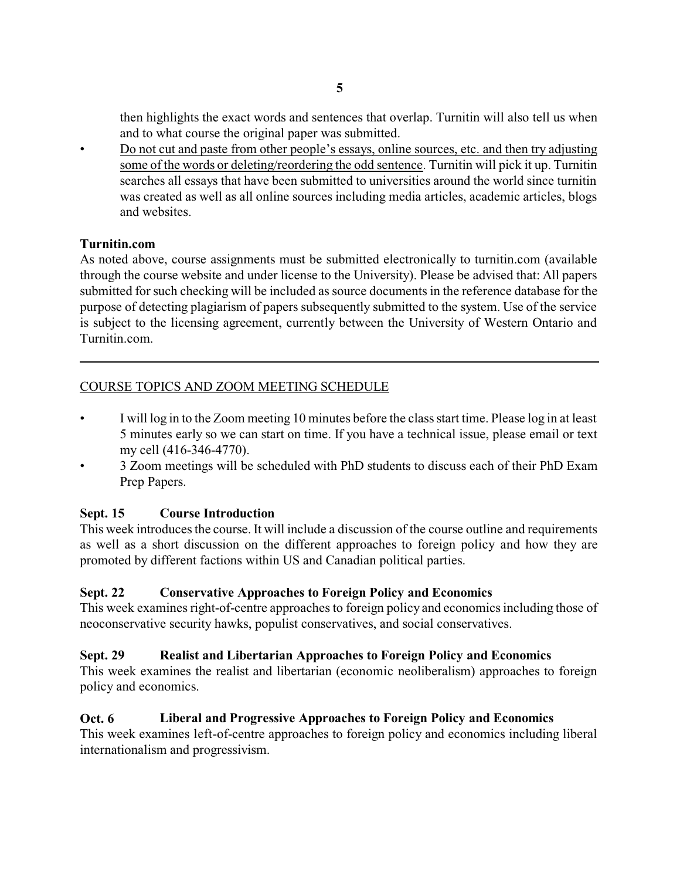then highlights the exact words and sentences that overlap. Turnitin will also tell us when and to what course the original paper was submitted.

• Do not cut and paste from other people's essays, online sources, etc. and then try adjusting some of the words or deleting/reordering the odd sentence. Turnitin will pick it up. Turnitin searches all essays that have been submitted to universities around the world since turnitin was created as well as all online sources including media articles, academic articles, blogs and websites.

### **Turnitin.com**

As noted above, course assignments must be submitted electronically to turnitin.com (available through the course website and under license to the University). Please be advised that: All papers submitted for such checking will be included as source documents in the reference database for the purpose of detecting plagiarism of papers subsequently submitted to the system. Use of the service is subject to the licensing agreement, currently between the University of Western Ontario and Turnitin.com.

# COURSE TOPICS AND ZOOM MEETING SCHEDULE

- I will log in to the Zoom meeting 10 minutes before the classstart time. Please log in at least 5 minutes early so we can start on time. If you have a technical issue, please email or text my cell (416-346-4770).
- 3 Zoom meetings will be scheduled with PhD students to discuss each of their PhD Exam Prep Papers.

# **Sept. 15 Course Introduction**

This week introduces the course. It will include a discussion of the course outline and requirements as well as a short discussion on the different approaches to foreign policy and how they are promoted by different factions within US and Canadian political parties.

# **Sept. 22 Conservative Approaches to Foreign Policy and Economics**

This week examines right-of-centre approaches to foreign policy and economics including those of neoconservative security hawks, populist conservatives, and social conservatives.

# **Sept. 29 Realist and Libertarian Approaches to Foreign Policy and Economics**

This week examines the realist and libertarian (economic neoliberalism) approaches to foreign policy and economics.

# **Oct. 6 Liberal and Progressive Approaches to Foreign Policy and Economics**

This week examines left-of-centre approaches to foreign policy and economics including liberal internationalism and progressivism.